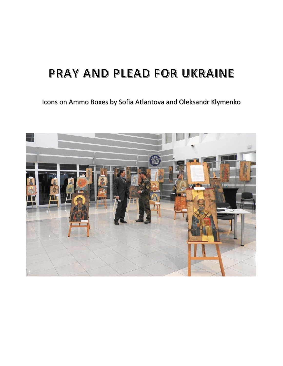## PRAY AND PLEAD FOR UKRAINE

### Icons on Ammo Boxes by Sofia Atlantova and Oleksandr Klymenko

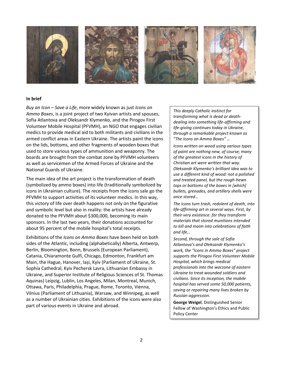

#### **In brief**

*Buy an Icon – Save a Life*, more widely known as just *Icons on Ammo Boxes*, is a joint project of two Kyivan artists and spouses, Sofia Atlantova and Oleksandr Klymenko, and the Pirogov First Volunteer Mobile Hospital (PFVMH), an NGO that engages civilian medics to provide medical aid to both militants and civilians in the armed conflict areas in Eastern Ukraine. The artists paint the icons on the lids, bottoms, and other fragments of wooden boxes that used to store various types of ammunition and weaponry. The boards are brought from the combat zone by PFVMH volunteers as well as servicemen of the Armed Forces of Ukraine and the National Guards of Ukraine.

The main idea of the art project is the transformation of death (symbolized by ammo boxes) into life (traditionally symbolized by icons in Ukrainian culture). The receipts from the icons sale go the PFVMH to support activities of its volunteer medics. In this way, this victory of life over death happens not only on the figurative and symbolic level but also in reality: the artists have already donated to the PFVMH about \$300,000, becoming its main sponsors. In the last two years, their donations accounted for about 95 percent of the mobile hospital's total receipts.

Exhibitions of the *Icons on Ammo Boxes* have been held on both sides of the Atlantic, including (alphabetically) Alberta, Antwerp, Berlin, Bloomington, Bonn, Brussels (European Parliament), Catania, Chiaramonte Gulfi, Chicago, Edmonton, Frankfurt am Main, the Hague, Hanover, Iași, Kyiv (Parliament of Ukraine, St. Sophia Cathedral, Kyiv Pechersk Lavra, Lithuanian Embassy in Ukraine, and Superior Institute of Religious Sciences of St. Thomas Aquinas) Leipzig, Lublin, Los Angeles, Milan, Montreal, Munich, Ottawa, Paris, Philadelphia, Prague, Rome, Toronto, Vienna, Vilnius (Parliament of Lithuania), Warsaw, and Winnipeg, as well as a number of Ukrainian cities. Exhibitions of the icons were also part of various events in Ukraine and abroad.

*This deeply Catholic instinct for transforming what is dead or deathdealing into something life-affirming and life-giving continues today in Ukraine, through a remarkable project known as "The Icons on Ammo Boxes" …*

*Icons written on wood using various types of paint are nothing new, of course; many of the greatest icons in the history of Christian art were written that way. Oleksandr Klymenko's brilliant idea was to use a different kind of wood: not a polished and treated panel, but the rough-hewn tops or bottoms of the boxes in [which] bullets, grenades, and artillery shells were once stored…*

*The icons turn trash, redolent of death, into life-affirming art in several ways. First, by their very existence: for they transform materials that stored munitions intended to kill and maim into celebrations of faith and life…*

*Second, through the sale of Sofia Atlantova's and Oleksandr Klymenko's work, the "Icons in Ammo Boxes" project supports the Pirogov First Volunteer Mobile Hospital, which brings medical professionals into the warzone of eastern Ukraine to treat wounded soldiers and civilians. Since its inception, the mobile hospital has served some 50,000 patients, saving or repairing many lives broken by Russian aggression.*

**George Weigel**, Distinguished Senior Fellow of Washington's Ethics and Public Policy Center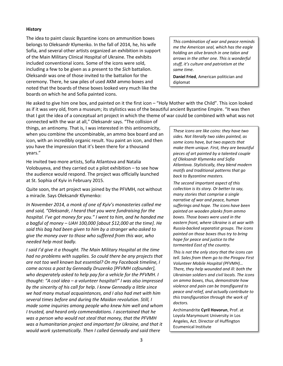#### **History**

The idea to paint classic Byzantine icons on ammunition boxes belongs to Oleksandr Klymenko. In the fall of 2014, he, his wife Sofia, and several other artists organized an exhibition in support of the Main Military Clinical Hospital of Ukraine. The exhibits included conventional icons. Some of the icons were sold, including a few to be given as a present to the *Sich* battalion. Oleksandr was one of those invited to the battalion for the ceremony. There, he saw piles of used AKM ammo boxes and noted that the boards of these boxes looked very much like the boards on which he and Sofia painted icons.

*This combination of war and peace reminds me the American seal, which has the eagle holding an olive branch in one talon and arrows in the other one. This is wonderful stuff, it's culture and patriotism at the same time.*

**Daniel Fried**, American politician and diplomat

He asked to give him one box, and painted on it the first icon – "Holy Mother with the Child". This icon looked as if it was very old, from a museum; its stylistics was of the beautiful ancient Byzantine Empire. "It was then that I got the idea of a conceptual art project in which the theme of war could be combined with what was not

connected with the war at all," Oleksandr says. "The collision of things, an antinomy. That is, I was interested in this antinomicity, when you combine the uncombinable, an ammo box board and an icon, with an incredibly organic result. You paint an icon, and then you have the impression that it's been there for a thousand years."

He invited two more artists, Sofia Atlantova and Natalia Volobuyeva, and they carried out a pilot exhibition – to see how the audience would respond. The project was officially launched at St. Sophia of Kyiv in February 2015.

Quite soon, the art project was joined by the PFVMH, not without a miracle. Says Oleksandr Klymenko:

*In November 2014, a monk of one of Kyiv's monasteries called me and said, "Oleksandr, I heard that you were fundraising for the hospital. I've got money for you." I went to him, and he handed me a bagful of money – UAH 100,000 [about \$12,000 at the time]. He said this bag had been given to him by a stranger who asked to give the money over to those who suffered from this war, who needed help most badly.*

*I said I'd give it a thought. The Main Military Hospital at the time had no problems with supplies. So could there be any projects that are not too well known but essential? On my Facebook timeline, I came across a post by Gennadiy Druzenko [PFVMH cofounder], who desperately asked to help pay for a vehicle for the PFVMH. I thought: "A cool idea – a volunteer hospital!" I was also impressed by the sincerity of his call for help. I knew Gennadiy a little since we had many mutual acquaintances, and I also had met with him several times before and during the Maidan revolution. Still, I made some inquiries among people who knew him well and whom I trusted, and heard only commendations. I ascertained that he was a person who would not steal that money, that the PFVMH was a humanitarian project and important for Ukraine, and that it would work systematically. Then I called Gennadiy and said there* 

*These icons are like coins: they have two sides. Not literally two sides painted, as some icons have, but two aspects that make them unique. First, they are beautiful pieces of art painted by a talented couple of Oleksandr Klymenko and Sofia Atlantova. Stylistically, they blend modern motifs and traditional patterns that go back to Byzantine masters.*

*The second important aspect of this collection is its story. Or better to say, many stories that comprise a single narrative of war and peace, human sufferings and hope. The icons have been painted on wooden planks from ammo boxes. Those boxes were used in the eastern front, where Ukraine is at war with Russia-backed separatist groups. The icons painted on those boxes thus try to bring hope for peace and justice to the tormented East of the country.*

*This is not the only story that the icons can tell. Sales from them go to the Pirogov First Volunteer Mobile Hospital (PFVMH)… There, they help wounded and ill: both the Ukrainian soldiers and civil locals. The icons on ammo boxes, thus, demonstrate how violence and pain can be transfigured to peace and relief, and actually contribute to this transfiguration through the work of doctors.*

Archimandrite **Cyril Hovorun**, Prof. at Loyola Marymount University in Los Angeles, Act. Director of Huffington Ecumenical Institute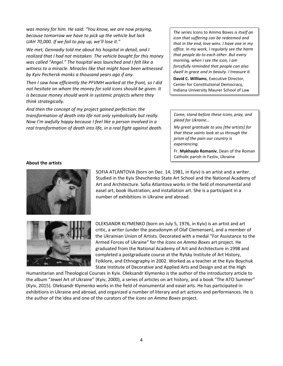*was money for him. He said: "You know, we are now praying, because tomorrow we have to pick up the vehicle but lack UAH 70,000. If we fail to pay up, we'll lose it."*

*We met, Gennadiy told me about his hospital in detail, and I realized that I had not mistaken. The vehicle bought for this money was called "Angel." The hospital was launched and I felt like a witness to a miracle. Miracles like that might have been witnessed by Kyiv Pechersk monks a thousand years ago if any.*

*Then I saw how efficiently the PFVMH worked at the front, so I did not hesitate on whom the money for sold icons should be given. It is because money should work in systemic projects where they think strategically.*

*And then the concept of my project gained perfection: the transformation of death into life not only symbolically but really. Now I'm awfully happy because I feel like a person involved in a real transformation of death into life, in a real fight against death.*

*The series* Icons to Ammo Boxes *is itself an icon that suffering can be redeemed and that in the end, love wins. I have one in my office. In my work, I regularly see the harm that people do to each other. But every morning, when I see the icon, I am forcefully reminded that people can also dwell in grace and in beauty. I treasure it.*

**David C. Williams**, Executive Director, Center for Constitutional Democracy, Indiana University Maurer School of Law

*Come, stand before these icons, pray, and plead for Ukraine…*

*My great gratitude to you [the artists] for that these saints look at us through the prism of the pain our country is experiencing.*

Fr. **Mykhaylo Romaniv**, Dean of the Roman Catholic parish in Fastiv, Ukraine

#### **About the artists**



SOFIA ATLANTOVA (born on Dec. 14, 1981, in Kyiv) is an artist and a writer. Studied in the Kyiv Shevchenko State Art School and the National Academy of Art and Architecture. Sofia Atlantova works in the field of monumental and easel art, book illustration, and installation art. She is a participant in a number of exhibitions in Ukraine and abroad.



OLEKSANDR KLYMENKO (born on July 5, 1976, in Kyiv) is an artist and art critic, a writer (under the pseudonym of Olaf Clemensen), and a member of the Ukrainian Union of Artists. Decorated with a medal "For Assistance to the Armed Forces of Ukraine" for the *Icons on Ammo Boxes* art project. He graduated from the National Academy of Art and Architecture in 1998 and completed a postgraduate course at the Rylsky Institute of Art History, Folklore, and Ethnography in 2002. Worked as a teacher at the Kyiv Boychuk State Institute of Decorative and Applied Arts and Design and at the High

Humanitarian and Theological Courses in Kyiv. Oleksandr Klymenko is the author of the introductory article to the album "Jewel Art of Ukraine" (Kyiv, 2000), a series of articles on art history, and a book "The ATO Summer" (Kyiv, 2015). Oleksandr Klymenko works in the field of monumental and easel arts. He has participated in exhibitions in Ukraine and abroad, and organized a number of literary and art actions and performances. He is the author of the idea and one of the curators of the *Icons on Ammo Boxes* project.